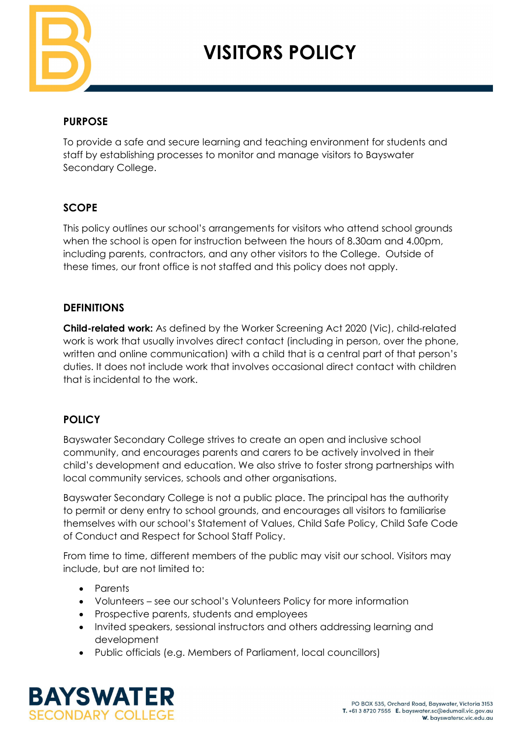

# **VISITORS POLICY**

## **PURPOSE**

To provide a safe and secure learning and teaching environment for students and staff by establishing processes to monitor and manage visitors to Bayswater Secondary College.

## **SCOPE**

This policy outlines our school's arrangements for visitors who attend school grounds when the school is open for instruction between the hours of 8.30am and 4.00pm, including parents, contractors, and any other visitors to the College. Outside of these times, our front office is not staffed and this policy does not apply.

#### **DEFINITIONS**

**Child-related work:** As defined by the Worker Screening Act 2020 (Vic), child-related work is work that usually involves direct contact (including in person, over the phone, written and online communication) with a child that is a central part of that person's duties. It does not include work that involves occasional direct contact with children that is incidental to the work.

## **POLICY**

Bayswater Secondary College strives to create an open and inclusive school community, and encourages parents and carers to be actively involved in their child's development and education. We also strive to foster strong partnerships with local community services, schools and other organisations.

Bayswater Secondary College is not a public place. The principal has the authority to permit or deny entry to school grounds, and encourages all visitors to familiarise themselves with our school's Statement of Values, Child Safe Policy, Child Safe Code of Conduct and Respect for School Staff Policy.

From time to time, different members of the public may visit our school. Visitors may include, but are not limited to:

- Parents
- Volunteers see our school's Volunteers Policy for more information
- Prospective parents, students and employees
- Invited speakers, sessional instructors and others addressing learning and development
- Public officials (e.g. Members of Parliament, local councillors)

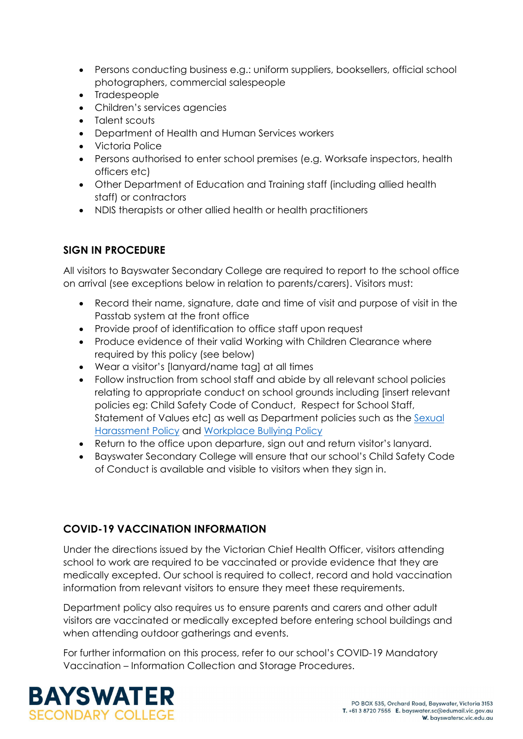- Persons conducting business e.g.: uniform suppliers, booksellers, official school photographers, commercial salespeople
- Tradespeople
- Children's services agencies
- Talent scouts
- Department of Health and Human Services workers
- Victoria Police
- Persons authorised to enter school premises (e.g. Worksafe inspectors, health officers etc)
- Other Department of Education and Training staff (including allied health staff) or contractors
- NDIS therapists or other allied health or health practitioners

# **SIGN IN PROCEDURE**

All visitors to Bayswater Secondary College are required to report to the school office on arrival (see exceptions below in relation to parents/carers). Visitors must:

- Record their name, signature, date and time of visit and purpose of visit in the Passtab system at the front office
- Provide proof of identification to office staff upon request
- Produce evidence of their valid Working with Children Clearance where required by this policy (see below)
- Wear a visitor's [lanyard/name tag] at all times
- Follow instruction from school staff and abide by all relevant school policies relating to appropriate conduct on school grounds including [insert relevant policies eg: Child Safety Code of Conduct, Respect for School Staff, Statement of Values etc] as well as Department policies such as the Sexual [Harassment Policy](https://www2.education.vic.gov.au/pal/sexual-harassment/overview) and [Workplace Bullying Policy](https://www2.education.vic.gov.au/pal/workplace-bullying/policy)
- Return to the office upon departure, sign out and return visitor's lanyard.
- Bayswater Secondary College will ensure that our school's Child Safety Code of Conduct is available and visible to visitors when they sign in.

# **COVID-19 VACCINATION INFORMATION**

Under the directions issued by the Victorian Chief Health Officer, visitors attending school to work are required to be vaccinated or provide evidence that they are medically excepted. Our school is required to collect, record and hold vaccination information from relevant visitors to ensure they meet these requirements.

Department policy also requires us to ensure parents and carers and other adult visitors are vaccinated or medically excepted before entering school buildings and when attending outdoor gatherings and events.

For further information on this process, refer to our school's COVID-19 Mandatory Vaccination – Information Collection and Storage Procedures.

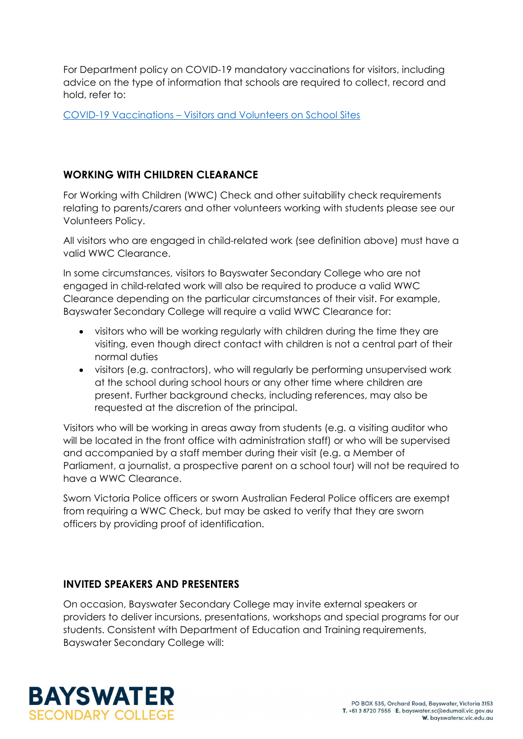For Department policy on COVID-19 mandatory vaccinations for visitors, including advice on the type of information that schools are required to collect, record and hold, refer to:

COVID-19 Vaccinations – [Visitors and Volunteers on School Sites](https://www2.education.vic.gov.au/pal/covid-19-vaccinations-visitors-volunteers/policy)

## **WORKING WITH CHILDREN CLEARANCE**

For Working with Children (WWC) Check and other suitability check requirements relating to parents/carers and other volunteers working with students please see our Volunteers Policy.

All visitors who are engaged in child-related work (see definition above) must have a valid WWC Clearance.

In some circumstances, visitors to Bayswater Secondary College who are not engaged in child-related work will also be required to produce a valid WWC Clearance depending on the particular circumstances of their visit. For example, Bayswater Secondary College will require a valid WWC Clearance for:

- visitors who will be working regularly with children during the time they are visiting, even though direct contact with children is not a central part of their normal duties
- visitors (e.g. contractors), who will regularly be performing unsupervised work at the school during school hours or any other time where children are present. Further background checks, including references, may also be requested at the discretion of the principal.

Visitors who will be working in areas away from students (e.g. a visiting auditor who will be located in the front office with administration staff) or who will be supervised and accompanied by a staff member during their visit (e.g. a Member of Parliament, a journalist, a prospective parent on a school tour) will not be required to have a WWC Clearance.

Sworn Victoria Police officers or sworn Australian Federal Police officers are exempt from requiring a WWC Check, but may be asked to verify that they are sworn officers by providing proof of identification.

#### **INVITED SPEAKERS AND PRESENTERS**

On occasion, Bayswater Secondary College may invite external speakers or providers to deliver incursions, presentations, workshops and special programs for our students. Consistent with Department of Education and Training requirements, Bayswater Secondary College will:

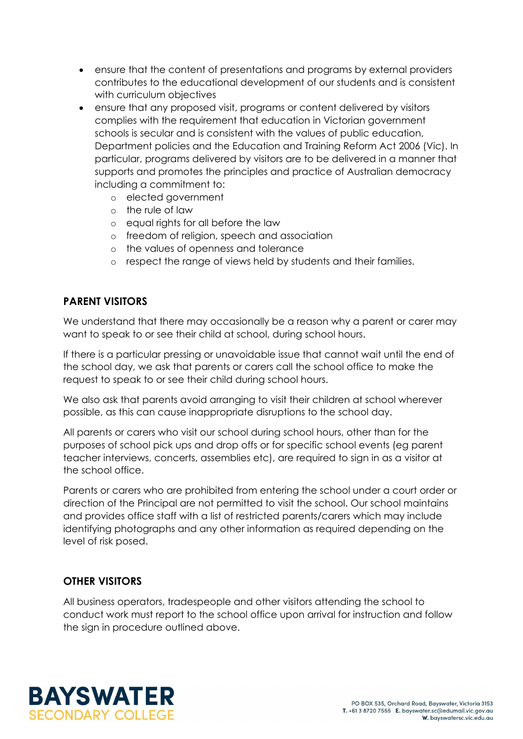- ensure that the content of presentations and programs by external providers contributes to the educational development of our students and is consistent with curriculum objectives
- ensure that any proposed visit, programs or content delivered by visitors complies with the requirement that education in Victorian government schools is secular and is consistent with the values of public education, Department policies and the Education and Training Reform Act 2006 (Vic). In particular, programs delivered by visitors are to be delivered in a manner that supports and promotes the principles and practice of Australian democracy including a commitment to:
	- o elected government
	- o the rule of law
	- o equal rights for all before the law
	- o freedom of religion, speech and association
	- o the values of openness and tolerance
	- o respect the range of views held by students and their families.

#### **PARENT VISITORS**

We understand that there may occasionally be a reason why a parent or carer may want to speak to or see their child at school, during school hours.

If there is a particular pressing or unavoidable issue that cannot wait until the end of the school day, we ask that parents or carers call the school office to make the request to speak to or see their child during school hours.

We also ask that parents avoid arranging to visit their children at school wherever possible, as this can cause inappropriate disruptions to the school day.

All parents or carers who visit our school during school hours, other than for the purposes of school pick ups and drop offs or for specific school events (eg parent teacher interviews, concerts, assemblies etc), are required to sign in as a visitor at the school office.

Parents or carers who are prohibited from entering the school under a court order or direction of the Principal are not permitted to visit the school. Our school maintains and provides office staff with a list of restricted parents/carers which may include identifying photographs and any other information as required depending on the level of risk posed.

#### **OTHER VISITORS**

All business operators, tradespeople and other visitors attending the school to conduct work must report to the school office upon arrival for instruction and follow the sign in procedure outlined above.